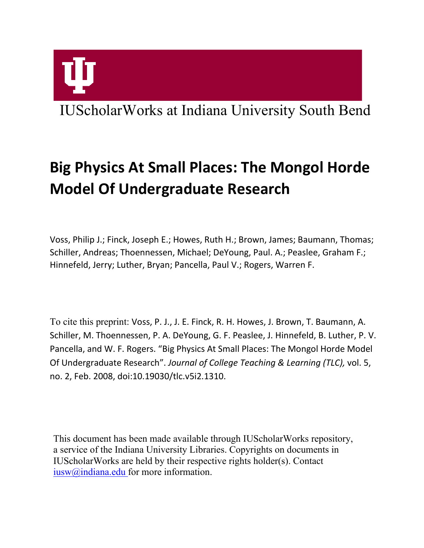# IUScholarWorks at Indiana University South Bend

# **Big Physics At Small Places: The Mongol Horde Model Of Undergraduate Research**

Voss, Philip J.; Finck, Joseph E.; Howes, Ruth H.; Brown, James; Baumann, Thomas; Schiller, Andreas; Thoennessen, Michael; DeYoung, Paul. A.; Peaslee, Graham F.; Hinnefeld, Jerry; Luther, Bryan; Pancella, Paul V.; Rogers, Warren F.

To cite this preprint: Voss, P. J., J. E. Finck, R. H. Howes, J. Brown, T. Baumann, A. Schiller, M. Thoennessen, P. A. DeYoung, G. F. Peaslee, J. Hinnefeld, B. Luther, P. V. Pancella, and W. F. Rogers. "Big Physics At Small Places: The Mongol Horde Model Of Undergraduate Research". *Journal of College Teaching & Learning (TLC),* vol. 5, no. 2, Feb. 2008, doi:10.19030/tlc.v5i2.1310.

This document has been made available through IUScholarWorks repository, a service of the Indiana University Libraries. Copyrights on documents in IUScholarWorks are held by their respective rights holder(s). Contact [iusw@indiana.edu](mailto:iusw@indiana.edu) for more information.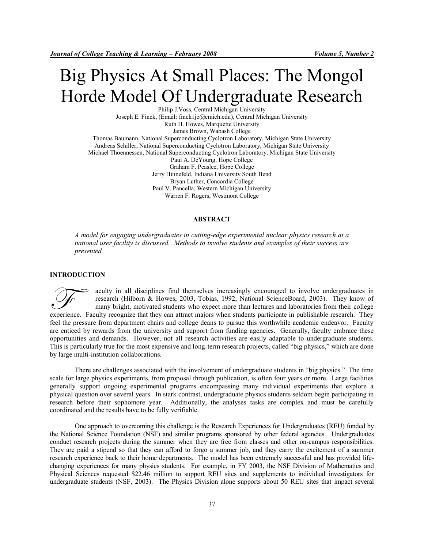# Big Physics At Small Places: The Mongol Horde Model Of Undergraduate Research

Philip J.Voss, Central Michigan University Joseph E. Finck, (Email: finck1je@cmich.edu), Central Michigan University Ruth H. Howes, Marquette University James Brown, Wabash College Thomas Baumann, National Superconducting Cyclotron Laboratory, Michigan State University Andreas Schiller, National Superconducting Cyclotron Laboratory, Michigan State University Michael Thoennessen, National Superconducting Cyclotron Laboratory, Michigan State University Paul A. DeYoung, Hope College Graham F. Peaslee, Hope College Jerry Hinnefeld, Indiana University South Bend Bryan Luther, Concordia College Paul V. Pancella, Western Michigan University Warren F. Rogers, Westmont College

#### **ABSTRACT**

*A model for engaging undergraduates in cutting-edge experimental nuclear physics research at a national user facility is discussed. Methods to involve students and examples of their success are presented.* 

## **INTRODUCTION**

aculty in all disciplines find themselves increasingly encouraged to involve undergraduates in research (Hilborn & Howes, 2003, Tobias, 1992, National ScienceBoard, 2003). They know of many bright, motivated students who expect more than lectures and laboratories from their college experience. Faculty in all disciplines find themselves increasingly encouraged to involve undergraduates in research (Hilborn & Howes, 2003, Tobias, 1992, National ScienceBoard, 2003). They know of many bright, motivated s feel the pressure from department chairs and college deans to pursue this worthwhile academic endeavor. Faculty are enticed by rewards from the university and support from funding agencies. Generally, faculty embrace these opportunities and demands. However, not all research activities are easily adaptable to undergraduate students. This is particularly true for the most expensive and long-term research projects, called "big physics," which are done by large multi-institution collaborations.

 There are challenges associated with the involvement of undergraduate students in "big physics." The time scale for large physics experiments, from proposal through publication, is often four years or more. Large facilities generally support ongoing experimental programs encompassing many individual experiments that explore a physical question over several years. In stark contrast, undergraduate physics students seldom begin participating in research before their sophomore year. Additionally, the analyses tasks are complex and must be carefully coordinated and the results have to be fully verifiable.

One approach to overcoming this challenge is the Research Experiences for Undergraduates (REU) funded by the National Science Foundation (NSF) and similar programs sponsored by other federal agencies. Undergraduates conduct research projects during the summer when they are free from classes and other on-campus responsibilities. They are paid a stipend so that they can afford to forgo a summer job, and they carry the excitement of a summer research experience back to their home departments. The model has been extremely successful and has provided lifechanging experiences for many physics students. For example, in FY 2003, the NSF Division of Mathematics and Physical Sciences requested \$22.46 million to support REU sites and supplements to individual investigators for undergraduate students (NSF, 2003). The Physics Division alone supports about 50 REU sites that impact several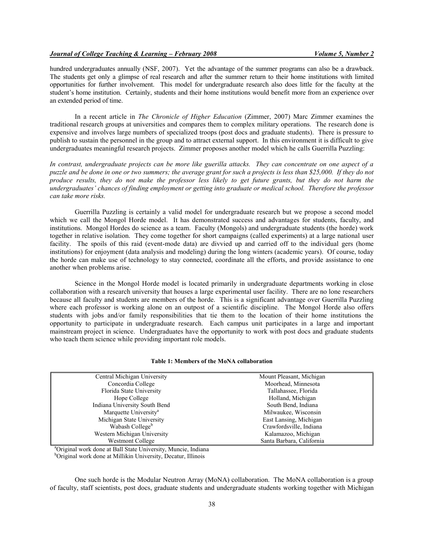hundred undergraduates annually (NSF, 2007). Yet the advantage of the summer programs can also be a drawback. The students get only a glimpse of real research and after the summer return to their home institutions with limited opportunities for further involvement. This model for undergraduate research also does little for the faculty at the student's home institution. Certainly, students and their home institutions would benefit more from an experience over an extended period of time.

In a recent article in *The Chronicle of Higher Education* (Zimmer, 2007) Marc Zimmer examines the traditional research groups at universities and compares them to complex military operations. The research done is expensive and involves large numbers of specialized troops (post docs and graduate students). There is pressure to publish to sustain the personnel in the group and to attract external support. In this environment it is difficult to give undergraduates meaningful research projects. Zimmer proposes another model which he calls Guerrilla Puzzling:

*In contrast, undergraduate projects can be more like guerilla attacks. They can concentrate on one aspect of a puzzle and be done in one or two summers; the average grant for such a projects is less than \$25,000. If they do not produce results, they do not make the professor less likely to get future grants, but they do not harm the undergraduates' chances of finding employment or getting into graduate or medical school. Therefore the professor can take more risks.* 

Guerrilla Puzzling is certainly a valid model for undergraduate research but we propose a second model which we call the Mongol Horde model. It has demonstrated success and advantages for students, faculty, and institutions. Mongol Hordes do science as a team. Faculty (Mongols) and undergraduate students (the horde) work together in relative isolation. They come together for short campaigns (called experiments) at a large national user facility. The spoils of this raid (event-mode data) are divvied up and carried off to the individual gers (home institutions) for enjoyment (data analysis and modeling) during the long winters (academic years). Of course, today the horde can make use of technology to stay connected, coordinate all the efforts, and provide assistance to one another when problems arise.

Science in the Mongol Horde model is located primarily in undergraduate departments working in close collaboration with a research university that houses a large experimental user facility. There are no lone researchers because all faculty and students are members of the horde. This is a significant advantage over Guerrilla Puzzling where each professor is working alone on an outpost of a scientific discipline. The Mongol Horde also offers students with jobs and/or family responsibilities that tie them to the location of their home institutions the opportunity to participate in undergraduate research. Each campus unit participates in a large and important mainstream project in science. Undergraduates have the opportunity to work with post docs and graduate students who teach them science while providing important role models.

| Central Michigan University       | Mount Pleasant, Michigan  |
|-----------------------------------|---------------------------|
| Concordia College                 | Moorhead, Minnesota       |
| Florida State University          | Tallahassee, Florida      |
| Hope College                      | Holland, Michigan         |
| Indiana University South Bend     | South Bend, Indiana       |
| Marquette University <sup>a</sup> | Milwaukee, Wisconsin      |
| Michigan State University         | East Lansing, Michigan    |
| Wabash College <sup>b</sup>       | Crawfordsville, Indiana   |
| Western Michigan University       | Kalamazoo, Michigan       |
| Westmont College                  | Santa Barbara, California |

<sup>a</sup>Original work done at Ball State University, Muncie, Indiana

<sup>b</sup>Original work done at Millikin University, Decatur, Illinois

One such horde is the Modular Neutron Array (MoNA) collaboration. The MoNA collaboration is a group of faculty, staff scientists, post docs, graduate students and undergraduate students working together with Michigan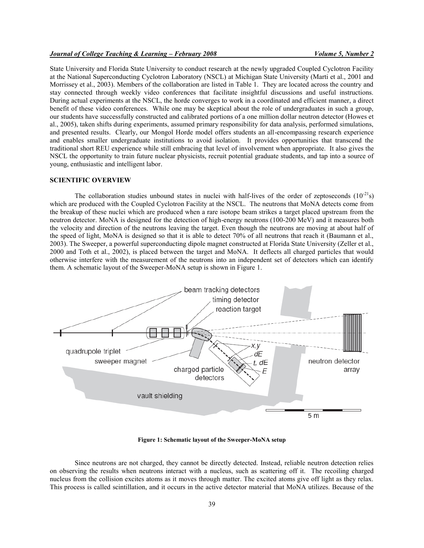# *Journal of College Teaching & Learning – February 2008 Volume 5, Number 2*

State University and Florida State University to conduct research at the newly upgraded Coupled Cyclotron Facility at the National Superconducting Cyclotron Laboratory (NSCL) at Michigan State University (Marti et al., 2001 and Morrissey et al., 2003). Members of the collaboration are listed in Table 1. They are located across the country and stay connected through weekly video conferences that facilitate insightful discussions and useful instructions. During actual experiments at the NSCL, the horde converges to work in a coordinated and efficient manner, a direct benefit of these video conferences. While one may be skeptical about the role of undergraduates in such a group, our students have successfully constructed and calibrated portions of a one million dollar neutron detector (Howes et al., 2005), taken shifts during experiments, assumed primary responsibility for data analysis, performed simulations, and presented results. Clearly, our Mongol Horde model offers students an all-encompassing research experience and enables smaller undergraduate institutions to avoid isolation. It provides opportunities that transcend the traditional short REU experience while still embracing that level of involvement when appropriate. It also gives the NSCL the opportunity to train future nuclear physicists, recruit potential graduate students, and tap into a source of young, enthusiastic and intelligent labor.

#### **SCIENTIFIC OVERVIEW**

The collaboration studies unbound states in nuclei with half-lives of the order of zeptoseconds  $(10^{-21}s)$ which are produced with the Coupled Cyclotron Facility at the NSCL. The neutrons that MoNA detects come from the breakup of these nuclei which are produced when a rare isotope beam strikes a target placed upstream from the neutron detector. MoNA is designed for the detection of high-energy neutrons (100-200 MeV) and it measures both the velocity and direction of the neutrons leaving the target. Even though the neutrons are moving at about half of the speed of light, MoNA is designed so that it is able to detect 70% of all neutrons that reach it (Baumann et al., 2003). The Sweeper, a powerful superconducting dipole magnet constructed at Florida State University (Zeller et al., 2000 and Toth et al., 2002), is placed between the target and MoNA. It deflects all charged particles that would otherwise interfere with the measurement of the neutrons into an independent set of detectors which can identify them. A schematic layout of the Sweeper-MoNA setup is shown in Figure 1.



**Figure 1: Schematic layout of the Sweeper-MoNA setup** 

Since neutrons are not charged, they cannot be directly detected. Instead, reliable neutron detection relies on observing the results when neutrons interact with a nucleus, such as scattering off it. The recoiling charged nucleus from the collision excites atoms as it moves through matter. The excited atoms give off light as they relax. This process is called scintillation, and it occurs in the active detector material that MoNA utilizes. Because of the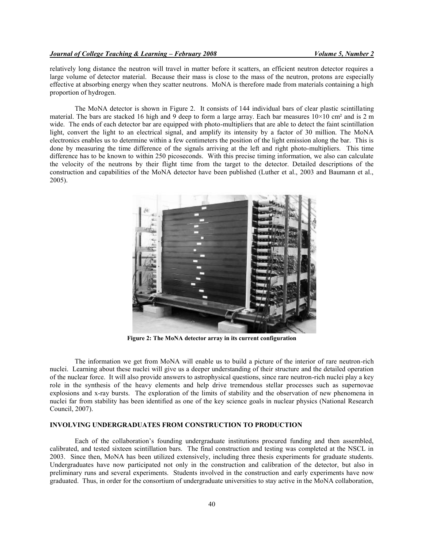relatively long distance the neutron will travel in matter before it scatters, an efficient neutron detector requires a large volume of detector material. Because their mass is close to the mass of the neutron, protons are especially effective at absorbing energy when they scatter neutrons. MoNA is therefore made from materials containing a high proportion of hydrogen.

The MoNA detector is shown in Figure 2. It consists of 144 individual bars of clear plastic scintillating material. The bars are stacked 16 high and 9 deep to form a large array. Each bar measures  $10\times10$  cm<sup>2</sup> and is 2 m wide. The ends of each detector bar are equipped with photo-multipliers that are able to detect the faint scintillation light, convert the light to an electrical signal, and amplify its intensity by a factor of 30 million. The MoNA electronics enables us to determine within a few centimeters the position of the light emission along the bar. This is done by measuring the time difference of the signals arriving at the left and right photo-multipliers. This time difference has to be known to within 250 picoseconds. With this precise timing information, we also can calculate the velocity of the neutrons by their flight time from the target to the detector. Detailed descriptions of the construction and capabilities of the MoNA detector have been published (Luther et al., 2003 and Baumann et al., 2005).



**Figure 2: The MoNA detector array in its current configuration** 

The information we get from MoNA will enable us to build a picture of the interior of rare neutron-rich nuclei. Learning about these nuclei will give us a deeper understanding of their structure and the detailed operation of the nuclear force. It will also provide answers to astrophysical questions, since rare neutron-rich nuclei play a key role in the synthesis of the heavy elements and help drive tremendous stellar processes such as supernovae explosions and x-ray bursts. The exploration of the limits of stability and the observation of new phenomena in nuclei far from stability has been identified as one of the key science goals in nuclear physics (National Research Council, 2007).

#### **INVOLVING UNDERGRADUATES FROM CONSTRUCTION TO PRODUCTION**

Each of the collaboration's founding undergraduate institutions procured funding and then assembled, calibrated, and tested sixteen scintillation bars. The final construction and testing was completed at the NSCL in 2003. Since then, MoNA has been utilized extensively, including three thesis experiments for graduate students. Undergraduates have now participated not only in the construction and calibration of the detector, but also in preliminary runs and several experiments. Students involved in the construction and early experiments have now graduated. Thus, in order for the consortium of undergraduate universities to stay active in the MoNA collaboration,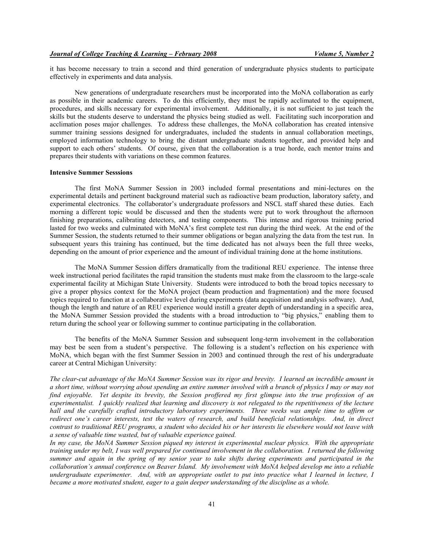it has become necessary to train a second and third generation of undergraduate physics students to participate effectively in experiments and data analysis.

 New generations of undergraduate researchers must be incorporated into the MoNA collaboration as early as possible in their academic careers. To do this efficiently, they must be rapidly acclimated to the equipment, procedures, and skills necessary for experimental involvement. Additionally, it is not sufficient to just teach the skills but the students deserve to understand the physics being studied as well. Facilitating such incorporation and acclimation poses major challenges. To address these challenges, the MoNA collaboration has created intensive summer training sessions designed for undergraduates, included the students in annual collaboration meetings, employed information technology to bring the distant undergraduate students together, and provided help and support to each others' students. Of course, given that the collaboration is a true horde, each mentor trains and prepares their students with variations on these common features.

#### **Intensive Summer Sesssions**

 The first MoNA Summer Session in 2003 included formal presentations and mini-lectures on the experimental details and pertinent background material such as radioactive beam production, laboratory safety, and experimental electronics. The collaborator's undergraduate professors and NSCL staff shared these duties. Each morning a different topic would be discussed and then the students were put to work throughout the afternoon finishing preparations, calibrating detectors, and testing components. This intense and rigorous training period lasted for two weeks and culminated with MoNA's first complete test run during the third week. At the end of the Summer Session, the students returned to their summer obligations or began analyzing the data from the test run. In subsequent years this training has continued, but the time dedicated has not always been the full three weeks, depending on the amount of prior experience and the amount of individual training done at the home institutions.

 The MoNA Summer Session differs dramatically from the traditional REU experience. The intense three week instructional period facilitates the rapid transition the students must make from the classroom to the large-scale experimental facility at Michigan State University. Students were introduced to both the broad topics necessary to give a proper physics context for the MoNA project (beam production and fragmentation) and the more focused topics required to function at a collaborative level during experiments (data acquisition and analysis software). And, though the length and nature of an REU experience would instill a greater depth of understanding in a specific area, the MoNA Summer Session provided the students with a broad introduction to "big physics," enabling them to return during the school year or following summer to continue participating in the collaboration.

 The benefits of the MoNA Summer Session and subsequent long-term involvement in the collaboration may best be seen from a student's perspective. The following is a student's reflection on his experience with MoNA, which began with the first Summer Session in 2003 and continued through the rest of his undergraduate career at Central Michigan University:

*The clear-cut advantage of the MoNA Summer Session was its rigor and brevity. I learned an incredible amount in a short time, without worrying about spending an entire summer involved with a branch of physics I may or may not find enjoyable. Yet despite its brevity, the Session proffered my first glimpse into the true profession of an experimentalist. I quickly realized that learning and discovery is not relegated to the repetitiveness of the lecture hall and the carefully crafted introductory laboratory experiments. Three weeks was ample time to affirm or redirect one's career interests, test the waters of research, and build beneficial relationships. And, in direct contrast to traditional REU programs, a student who decided his or her interests lie elsewhere would not leave with a sense of valuable time wasted, but of valuable experience gained.* 

*In my case, the MoNA Summer Session piqued my interest in experimental nuclear physics. With the appropriate training under my belt, I was well prepared for continued involvement in the collaboration. I returned the following summer and again in the spring of my senior year to take shifts during experiments and participated in the collaboration's annual conference on Beaver Island. My involvement with MoNA helped develop me into a reliable undergraduate experimenter. And, with an appropriate outlet to put into practice what I learned in lecture, I became a more motivated student, eager to a gain deeper understanding of the discipline as a whole.*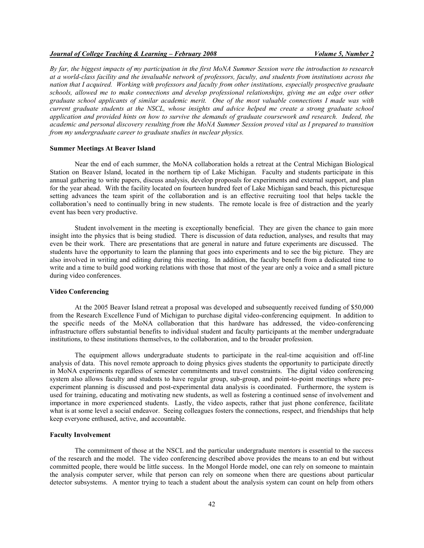## *Journal of College Teaching & Learning – February 2008 Volume 5, Number 2*

*By far, the biggest impacts of my participation in the first MoNA Summer Session were the introduction to research at a world-class facility and the invaluable network of professors, faculty, and students from institutions across the nation that I acquired. Working with professors and faculty from other institutions, especially prospective graduate schools, allowed me to make connections and develop professional relationships, giving me an edge over other graduate school applicants of similar academic merit. One of the most valuable connections I made was with current graduate students at the NSCL, whose insights and advice helped me create a strong graduate school application and provided hints on how to survive the demands of graduate coursework and research. Indeed, the academic and personal discovery resulting from the MoNA Summer Session proved vital as I prepared to transition from my undergraduate career to graduate studies in nuclear physics.* 

# **Summer Meetings At Beaver Island**

Near the end of each summer, the MoNA collaboration holds a retreat at the Central Michigan Biological Station on Beaver Island, located in the northern tip of Lake Michigan. Faculty and students participate in this annual gathering to write papers, discuss analysis, develop proposals for experiments and external support, and plan for the year ahead. With the facility located on fourteen hundred feet of Lake Michigan sand beach, this picturesque setting advances the team spirit of the collaboration and is an effective recruiting tool that helps tackle the collaboration's need to continually bring in new students. The remote locale is free of distraction and the yearly event has been very productive.

Student involvement in the meeting is exceptionally beneficial. They are given the chance to gain more insight into the physics that is being studied. There is discussion of data reduction, analyses, and results that may even be their work. There are presentations that are general in nature and future experiments are discussed. The students have the opportunity to learn the planning that goes into experiments and to see the big picture. They are also involved in writing and editing during this meeting. In addition, the faculty benefit from a dedicated time to write and a time to build good working relations with those that most of the year are only a voice and a small picture during video conferences.

## **Video Conferencing**

At the 2005 Beaver Island retreat a proposal was developed and subsequently received funding of \$50,000 from the Research Excellence Fund of Michigan to purchase digital video-conferencing equipment. In addition to the specific needs of the MoNA collaboration that this hardware has addressed, the video-conferencing infrastructure offers substantial benefits to individual student and faculty participants at the member undergraduate institutions, to these institutions themselves, to the collaboration, and to the broader profession.

 The equipment allows undergraduate students to participate in the real-time acquisition and off-line analysis of data. This novel remote approach to doing physics gives students the opportunity to participate directly in MoNA experiments regardless of semester commitments and travel constraints. The digital video conferencing system also allows faculty and students to have regular group, sub-group, and point-to-point meetings where preexperiment planning is discussed and post-experimental data analysis is coordinated. Furthermore, the system is used for training, educating and motivating new students, as well as fostering a continued sense of involvement and importance in more experienced students. Lastly, the video aspects, rather that just phone conference, facilitate what is at some level a social endeavor. Seeing colleagues fosters the connections, respect, and friendships that help keep everyone enthused, active, and accountable.

# **Faculty Involvement**

 The commitment of those at the NSCL and the particular undergraduate mentors is essential to the success of the research and the model. The video conferencing described above provides the means to an end but without committed people, there would be little success. In the Mongol Horde model, one can rely on someone to maintain the analysis computer server, while that person can rely on someone when there are questions about particular detector subsystems. A mentor trying to teach a student about the analysis system can count on help from others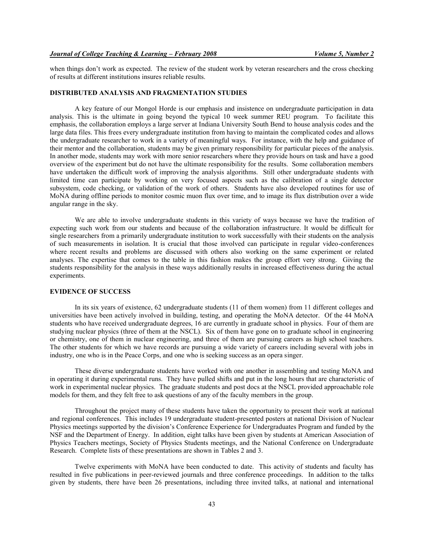when things don't work as expected. The review of the student work by veteran researchers and the cross checking of results at different institutions insures reliable results.

#### **DISTRIBUTED ANALYSIS AND FRAGMENTATION STUDIES**

A key feature of our Mongol Horde is our emphasis and insistence on undergraduate participation in data analysis. This is the ultimate in going beyond the typical 10 week summer REU program. To facilitate this emphasis, the collaboration employs a large server at Indiana University South Bend to house analysis codes and the large data files. This frees every undergraduate institution from having to maintain the complicated codes and allows the undergraduate researcher to work in a variety of meaningful ways. For instance, with the help and guidance of their mentor and the collaboration, students may be given primary responsibility for particular pieces of the analysis. In another mode, students may work with more senior researchers where they provide hours on task and have a good overview of the experiment but do not have the ultimate responsibility for the results. Some collaboration members have undertaken the difficult work of improving the analysis algorithms. Still other undergraduate students with limited time can participate by working on very focused aspects such as the calibration of a single detector subsystem, code checking, or validation of the work of others. Students have also developed routines for use of MoNA during offline periods to monitor cosmic muon flux over time, and to image its flux distribution over a wide angular range in the sky.

We are able to involve undergraduate students in this variety of ways because we have the tradition of expecting such work from our students and because of the collaboration infrastructure. It would be difficult for single researchers from a primarily undergraduate institution to work successfully with their students on the analysis of such measurements in isolation. It is crucial that those involved can participate in regular video-conferences where recent results and problems are discussed with others also working on the same experiment or related analyses. The expertise that comes to the table in this fashion makes the group effort very strong. Giving the students responsibility for the analysis in these ways additionally results in increased effectiveness during the actual experiments.

## **EVIDENCE OF SUCCESS**

In its six years of existence, 62 undergraduate students (11 of them women) from 11 different colleges and universities have been actively involved in building, testing, and operating the MoNA detector. Of the 44 MoNA students who have received undergraduate degrees, 16 are currently in graduate school in physics. Four of them are studying nuclear physics (three of them at the NSCL). Six of them have gone on to graduate school in engineering or chemistry, one of them in nuclear engineering, and three of them are pursuing careers as high school teachers. The other students for which we have records are pursuing a wide variety of careers including several with jobs in industry, one who is in the Peace Corps, and one who is seeking success as an opera singer.

These diverse undergraduate students have worked with one another in assembling and testing MoNA and in operating it during experimental runs. They have pulled shifts and put in the long hours that are characteristic of work in experimental nuclear physics. The graduate students and post docs at the NSCL provided approachable role models for them, and they felt free to ask questions of any of the faculty members in the group.

Throughout the project many of these students have taken the opportunity to present their work at national and regional conferences. This includes 19 undergraduate student-presented posters at national Division of Nuclear Physics meetings supported by the division's Conference Experience for Undergraduates Program and funded by the NSF and the Department of Energy. In addition, eight talks have been given by students at American Association of Physics Teachers meetings, Society of Physics Students meetings, and the National Conference on Undergraduate Research. Complete lists of these presentations are shown in Tables 2 and 3.

Twelve experiments with MoNA have been conducted to date. This activity of students and faculty has resulted in five publications in peer-reviewed journals and three conference proceedings. In addition to the talks given by students, there have been 26 presentations, including three invited talks, at national and international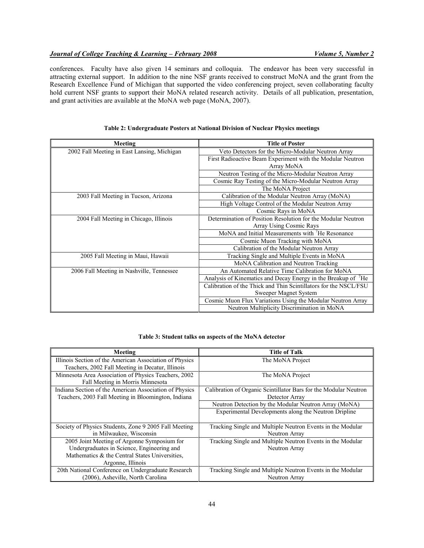conferences. Faculty have also given 14 seminars and colloquia. The endeavor has been very successful in attracting external support. In addition to the nine NSF grants received to construct MoNA and the grant from the Research Excellence Fund of Michigan that supported the video conferencing project, seven collaborating faculty hold current NSF grants to support their MoNA related research activity. Details of all publication, presentation, and grant activities are available at the MoNA web page (MoNA, 2007).

| Meeting                                     | <b>Title of Poster</b>                                                    |
|---------------------------------------------|---------------------------------------------------------------------------|
| 2002 Fall Meeting in East Lansing, Michigan | Veto Detectors for the Micro-Modular Neutron Array                        |
|                                             | First Radioactive Beam Experiment with the Modular Neutron                |
|                                             | Array MoNA                                                                |
|                                             | Neutron Testing of the Micro-Modular Neutron Array                        |
|                                             | Cosmic Ray Testing of the Micro-Modular Neutron Array                     |
|                                             | The MoNA Project                                                          |
| 2003 Fall Meeting in Tucson, Arizona        | Calibration of the Modular Neutron Array (MoNA)                           |
|                                             | High Voltage Control of the Modular Neutron Array                         |
|                                             | Cosmic Rays in MoNA                                                       |
| 2004 Fall Meeting in Chicago, Illinois      | Determination of Position Resolution for the Modular Neutron              |
|                                             | Array Using Cosmic Rays                                                   |
|                                             | MoNA and Initial Measurements with <sup>7</sup> He Resonance              |
|                                             | Cosmic Muon Tracking with MoNA                                            |
|                                             | Calibration of the Modular Neutron Array                                  |
| 2005 Fall Meeting in Maui, Hawaii           | Tracking Single and Multiple Events in MoNA                               |
|                                             | MoNA Calibration and Neutron Tracking                                     |
| 2006 Fall Meeting in Nashville, Tennessee   | An Automated Relative Time Calibration for MoNA                           |
|                                             | Analysis of Kinematics and Decay Energy in the Breakup of <sup>7</sup> He |
|                                             | Calibration of the Thick and Thin Scintillators for the NSCL/FSU          |
|                                             | Sweeper Magnet System                                                     |
|                                             | Cosmic Muon Flux Variations Using the Modular Neutron Array               |
|                                             | Neutron Multiplicity Discrimination in MoNA                               |

#### **Table 2: Undergraduate Posters at National Division of Nuclear Physics meetings**

#### **Table 3: Student talks on aspects of the MoNA detector**

| Meeting                                                 | <b>Title of Talk</b>                                             |
|---------------------------------------------------------|------------------------------------------------------------------|
| Illinois Section of the American Association of Physics | The MoNA Project                                                 |
| Teachers, 2002 Fall Meeting in Decatur, Illinois        |                                                                  |
| Minnesota Area Association of Physics Teachers, 2002    | The MoNA Project                                                 |
| Fall Meeting in Morris Minnesota                        |                                                                  |
| Indiana Section of the American Association of Physics  | Calibration of Organic Scintillator Bars for the Modular Neutron |
| Teachers, 2003 Fall Meeting in Bloomington, Indiana     | Detector Array                                                   |
|                                                         | Neutron Detection by the Modular Neutron Array (MoNA)            |
|                                                         | Experimental Developments along the Neutron Dripline             |
|                                                         |                                                                  |
| Society of Physics Students, Zone 9 2005 Fall Meeting   | Tracking Single and Multiple Neutron Events in the Modular       |
| in Milwaukee, Wisconsin                                 | Neutron Array                                                    |
| 2005 Joint Meeting of Argonne Symposium for             | Tracking Single and Multiple Neutron Events in the Modular       |
| Undergraduates in Science, Engineering and              | Neutron Array                                                    |
| Mathematics & the Central States Universities,          |                                                                  |
| Argonne, Illinois                                       |                                                                  |
| 20th National Conference on Undergraduate Research      | Tracking Single and Multiple Neutron Events in the Modular       |
| (2006), Asheville, North Carolina                       | Neutron Array                                                    |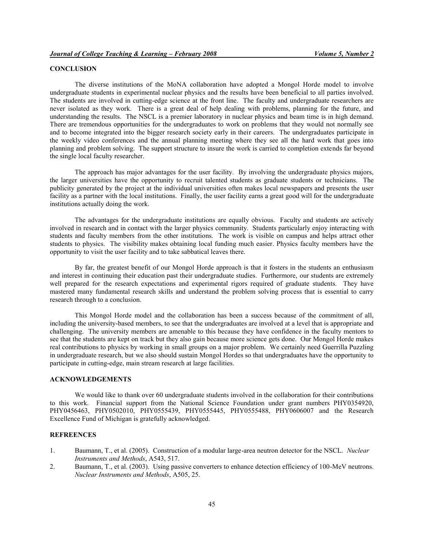# **CONCLUSION**

The diverse institutions of the MoNA collaboration have adopted a Mongol Horde model to involve undergraduate students in experimental nuclear physics and the results have been beneficial to all parties involved. The students are involved in cutting-edge science at the front line. The faculty and undergraduate researchers are never isolated as they work. There is a great deal of help dealing with problems, planning for the future, and understanding the results. The NSCL is a premier laboratory in nuclear physics and beam time is in high demand. There are tremendous opportunities for the undergraduates to work on problems that they would not normally see and to become integrated into the bigger research society early in their careers. The undergraduates participate in the weekly video conferences and the annual planning meeting where they see all the hard work that goes into planning and problem solving. The support structure to insure the work is carried to completion extends far beyond the single local faculty researcher.

The approach has major advantages for the user facility. By involving the undergraduate physics majors, the larger universities have the opportunity to recruit talented students as graduate students or technicians. The publicity generated by the project at the individual universities often makes local newspapers and presents the user facility as a partner with the local institutions. Finally, the user facility earns a great good will for the undergraduate institutions actually doing the work.

The advantages for the undergraduate institutions are equally obvious. Faculty and students are actively involved in research and in contact with the larger physics community. Students particularly enjoy interacting with students and faculty members from the other institutions. The work is visible on campus and helps attract other students to physics. The visibility makes obtaining local funding much easier. Physics faculty members have the opportunity to visit the user facility and to take sabbatical leaves there.

By far, the greatest benefit of our Mongol Horde approach is that it fosters in the students an enthusiasm and interest in continuing their education past their undergraduate studies. Furthermore, our students are extremely well prepared for the research expectations and experimental rigors required of graduate students. They have mastered many fundamental research skills and understand the problem solving process that is essential to carry research through to a conclusion.

This Mongol Horde model and the collaboration has been a success because of the commitment of all, including the university-based members, to see that the undergraduates are involved at a level that is appropriate and challenging. The university members are amenable to this because they have confidence in the faculty mentors to see that the students are kept on track but they also gain because more science gets done. Our Mongol Horde makes real contributions to physics by working in small groups on a major problem. We certainly need Guerrilla Puzzling in undergraduate research, but we also should sustain Mongol Hordes so that undergraduates have the opportunity to participate in cutting-edge, main stream research at large facilities.

#### **ACKNOWLEDGEMENTS**

We would like to thank over 60 undergraduate students involved in the collaboration for their contributions to this work. Financial support from the National Science Foundation under grant numbers PHY0354920, PHY0456463, PHY0502010, PHY0555439, PHY0555445, PHY0555488, PHY0606007 and the Research Excellence Fund of Michigan is gratefully acknowledged.

# **REFREENCES**

- 1. Baumann, T., et al. (2005). Construction of a modular large-area neutron detector for the NSCL. *Nuclear Instruments and Methods*, A543, 517.
- 2. Baumann, T., et al. (2003). Using passive converters to enhance detection efficiency of 100-MeV neutrons. *Nuclear Instruments and Methods*, A505, 25.